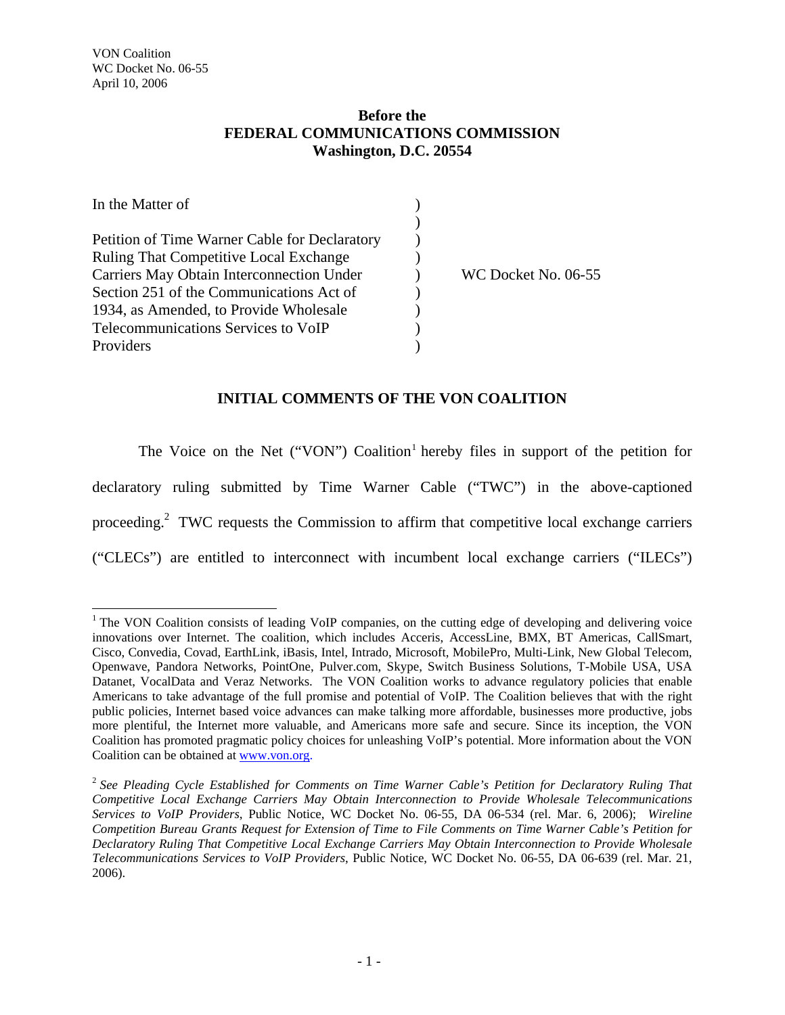## **Before the FEDERAL COMMUNICATIONS COMMISSION Washington, D.C. 20554**

| In the Matter of                              |                     |
|-----------------------------------------------|---------------------|
|                                               |                     |
| Petition of Time Warner Cable for Declaratory |                     |
| <b>Ruling That Competitive Local Exchange</b> |                     |
| Carriers May Obtain Interconnection Under     | WC Docket No. 06-55 |
| Section 251 of the Communications Act of      |                     |
| 1934, as Amended, to Provide Wholesale        |                     |
| Telecommunications Services to VoIP           |                     |
| Providers                                     |                     |

## **INITIAL COMMENTS OF THE VON COALITION**

The Voice on the Net ("VON") Coalition<sup>1</sup> hereby files in support of the petition for declaratory ruling submitted by Time Warner Cable ("TWC") in the above-captioned proceeding.<sup>2</sup> TWC requests the Commission to affirm that competitive local exchange carriers ("CLECs") are entitled to interconnect with incumbent local exchange carriers ("ILECs")

<sup>&</sup>lt;sup>1</sup> The VON Coalition consists of leading VoIP companies, on the cutting edge of developing and delivering voice innovations over Internet. The coalition, which includes Acceris, AccessLine, BMX, BT Americas, CallSmart, Cisco, Convedia, Covad, EarthLink, iBasis, Intel, Intrado, Microsoft, MobilePro, Multi-Link, New Global Telecom, Openwave, Pandora Networks, PointOne, Pulver.com, Skype, Switch Business Solutions, T-Mobile USA, USA Datanet, VocalData and Veraz Networks. The VON Coalition works to advance regulatory policies that enable Americans to take advantage of the full promise and potential of VoIP. The Coalition believes that with the right public policies, Internet based voice advances can make talking more affordable, businesses more productive, jobs more plentiful, the Internet more valuable, and Americans more safe and secure. Since its inception, the VON Coalition has promoted pragmatic policy choices for unleashing VoIP's potential. More information about the VON Coalition can be obtained at www.von.org.

<sup>2</sup> *See Pleading Cycle Established for Comments on Time Warner Cable's Petition for Declaratory Ruling That Competitive Local Exchange Carriers May Obtain Interconnection to Provide Wholesale Telecommunications Services to VoIP Providers*, Public Notice, WC Docket No. 06-55, DA 06-534 (rel. Mar. 6, 2006); *Wireline Competition Bureau Grants Request for Extension of Time to File Comments on Time Warner Cable's Petition for Declaratory Ruling That Competitive Local Exchange Carriers May Obtain Interconnection to Provide Wholesale Telecommunications Services to VoIP Providers*, Public Notice, WC Docket No. 06-55, DA 06-639 (rel. Mar. 21, 2006).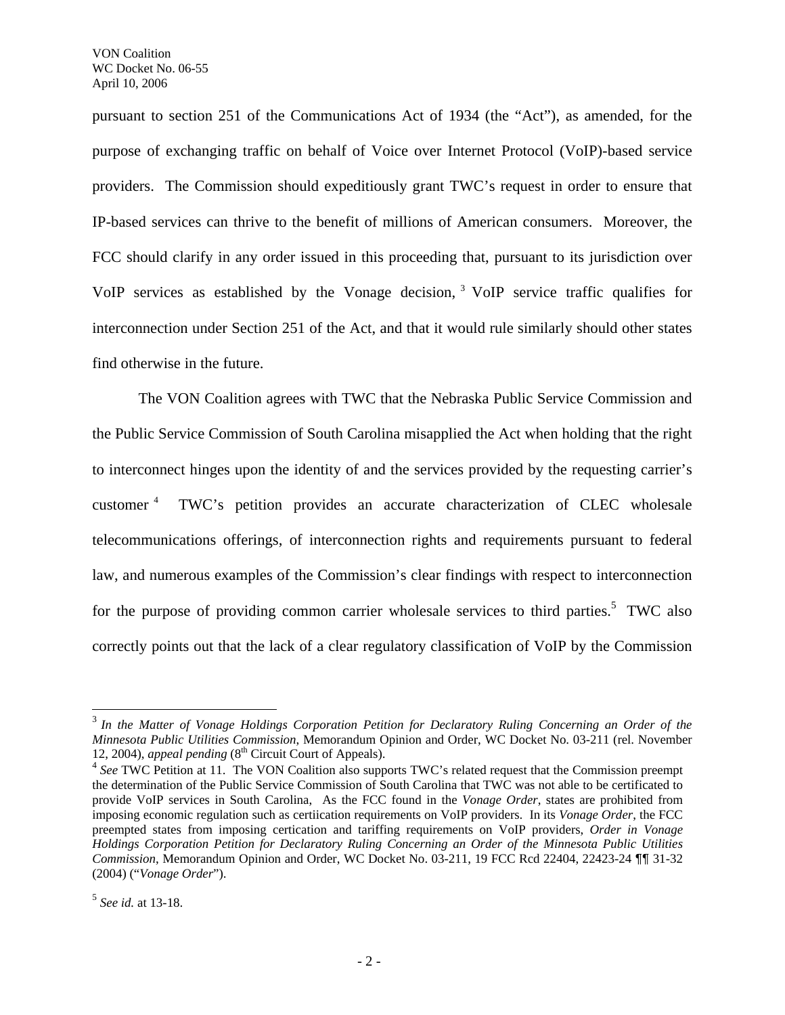pursuant to section 251 of the Communications Act of 1934 (the "Act"), as amended, for the purpose of exchanging traffic on behalf of Voice over Internet Protocol (VoIP)-based service providers. The Commission should expeditiously grant TWC's request in order to ensure that IP-based services can thrive to the benefit of millions of American consumers. Moreover, the FCC should clarify in any order issued in this proceeding that, pursuant to its jurisdiction over VoIP services as established by the Vonage decision, 3 VoIP service traffic qualifies for interconnection under Section 251 of the Act, and that it would rule similarly should other states find otherwise in the future.

 The VON Coalition agrees with TWC that the Nebraska Public Service Commission and the Public Service Commission of South Carolina misapplied the Act when holding that the right to interconnect hinges upon the identity of and the services provided by the requesting carrier's customer 4 TWC's petition provides an accurate characterization of CLEC wholesale telecommunications offerings, of interconnection rights and requirements pursuant to federal law, and numerous examples of the Commission's clear findings with respect to interconnection for the purpose of providing common carrier wholesale services to third parties.<sup>5</sup> TWC also correctly points out that the lack of a clear regulatory classification of VoIP by the Commission

l

<sup>3</sup> *In the Matter of Vonage Holdings Corporation Petition for Declaratory Ruling Concerning an Order of the Minnesota Public Utilities Commission*, Memorandum Opinion and Order, WC Docket No. 03-211 (rel. November 12, 2004), *appeal pending* (8<sup>th</sup> Circuit Court of Appeals).

<sup>&</sup>lt;sup>4</sup> See TWC Petition at 11. The VON Coalition also supports TWC's related request that the Commission preempt the determination of the Public Service Commission of South Carolina that TWC was not able to be certificated to provide VoIP services in South Carolina, As the FCC found in the *Vonage Order*, states are prohibited from imposing economic regulation such as certiication requirements on VoIP providers. In its *Vonage Order*, the FCC preempted states from imposing certication and tariffing requirements on VoIP providers, *Order in Vonage Holdings Corporation Petition for Declaratory Ruling Concerning an Order of the Minnesota Public Utilities Commission*, Memorandum Opinion and Order, WC Docket No. 03-211, 19 FCC Rcd 22404, 22423-24 ¶¶ 31-32 (2004) ("*Vonage Order*").

<sup>5</sup> *See id.* at 13-18.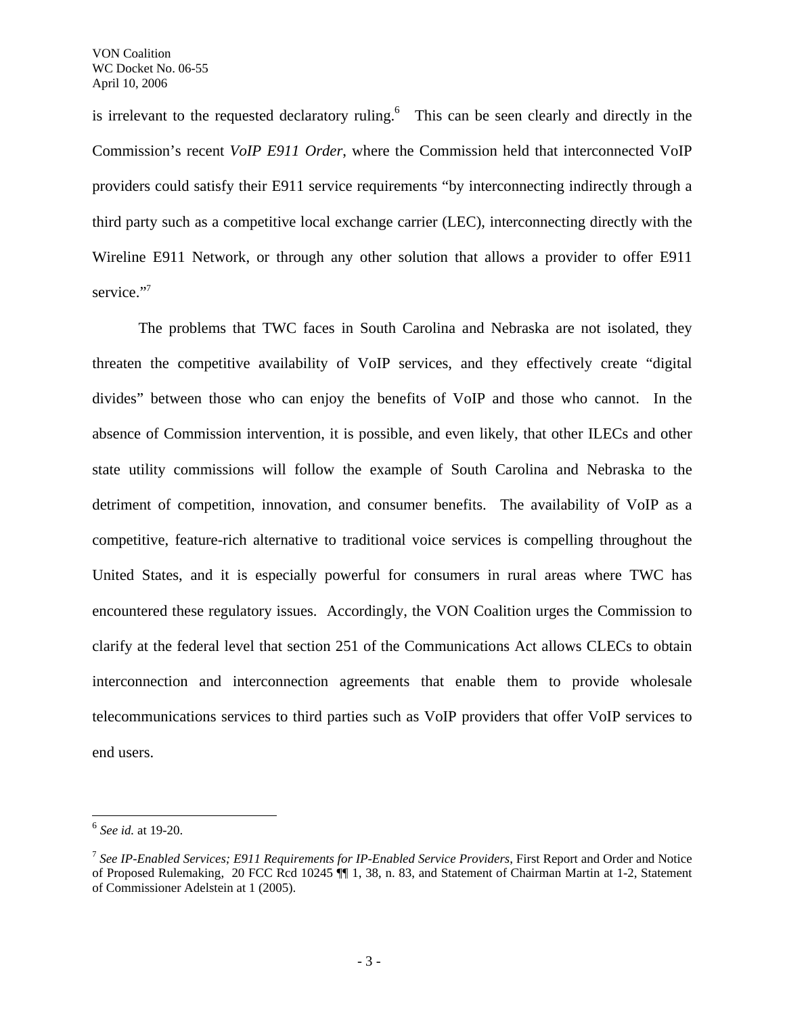is irrelevant to the requested declaratory ruling.<sup>6</sup> This can be seen clearly and directly in the Commission's recent *VoIP E911 Order*, where the Commission held that interconnected VoIP providers could satisfy their E911 service requirements "by interconnecting indirectly through a third party such as a competitive local exchange carrier (LEC), interconnecting directly with the Wireline E911 Network, or through any other solution that allows a provider to offer E911 service."7

 The problems that TWC faces in South Carolina and Nebraska are not isolated, they threaten the competitive availability of VoIP services, and they effectively create "digital divides" between those who can enjoy the benefits of VoIP and those who cannot. In the absence of Commission intervention, it is possible, and even likely, that other ILECs and other state utility commissions will follow the example of South Carolina and Nebraska to the detriment of competition, innovation, and consumer benefits. The availability of VoIP as a competitive, feature-rich alternative to traditional voice services is compelling throughout the United States, and it is especially powerful for consumers in rural areas where TWC has encountered these regulatory issues. Accordingly, the VON Coalition urges the Commission to clarify at the federal level that section 251 of the Communications Act allows CLECs to obtain interconnection and interconnection agreements that enable them to provide wholesale telecommunications services to third parties such as VoIP providers that offer VoIP services to end users.

 $\overline{\phantom{a}}$ 

<sup>6</sup> *See id.* at 19-20.

<sup>7</sup> *See IP-Enabled Services; E911 Requirements for IP-Enabled Service Providers*, First Report and Order and Notice of Proposed Rulemaking, 20 FCC Rcd 10245 ¶¶ 1, 38, n. 83, and Statement of Chairman Martin at 1-2, Statement of Commissioner Adelstein at 1 (2005).